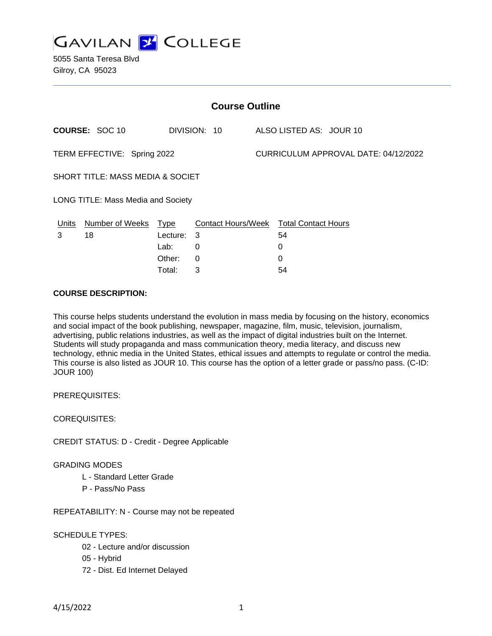

5055 Santa Teresa Blvd Gilroy, CA 95023

| <b>Course Outline</b>                     |                 |             |                                        |  |                                      |  |  |
|-------------------------------------------|-----------------|-------------|----------------------------------------|--|--------------------------------------|--|--|
|                                           | COURSE: SOC 10  |             | DIVISION: 10                           |  | ALSO LISTED AS: JOUR 10              |  |  |
| TERM EFFECTIVE: Spring 2022               |                 |             |                                        |  | CURRICULUM APPROVAL DATE: 04/12/2022 |  |  |
| SHORT TITLE: MASS MEDIA & SOCIET          |                 |             |                                        |  |                                      |  |  |
| <b>LONG TITLE: Mass Media and Society</b> |                 |             |                                        |  |                                      |  |  |
| <u>Units</u>                              | Number of Weeks | <b>Type</b> | Contact Hours/Week Total Contact Hours |  |                                      |  |  |
| 3                                         | 18              | Lecture: 3  |                                        |  | 54                                   |  |  |
|                                           |                 | Lab:        | 0                                      |  | 0                                    |  |  |
|                                           |                 | Other:      | 0                                      |  | 0                                    |  |  |
|                                           |                 | Total:      | 3                                      |  | 54                                   |  |  |

### **COURSE DESCRIPTION:**

This course helps students understand the evolution in mass media by focusing on the history, economics and social impact of the book publishing, newspaper, magazine, film, music, television, journalism, advertising, public relations industries, as well as the impact of digital industries built on the Internet. Students will study propaganda and mass communication theory, media literacy, and discuss new technology, ethnic media in the United States, ethical issues and attempts to regulate or control the media. This course is also listed as JOUR 10. This course has the option of a letter grade or pass/no pass. (C-ID: JOUR 100)

PREREQUISITES:

COREQUISITES:

CREDIT STATUS: D - Credit - Degree Applicable

GRADING MODES

- L Standard Letter Grade
- P Pass/No Pass

REPEATABILITY: N - Course may not be repeated

### SCHEDULE TYPES:

- 02 Lecture and/or discussion
- 05 Hybrid
- 72 Dist. Ed Internet Delayed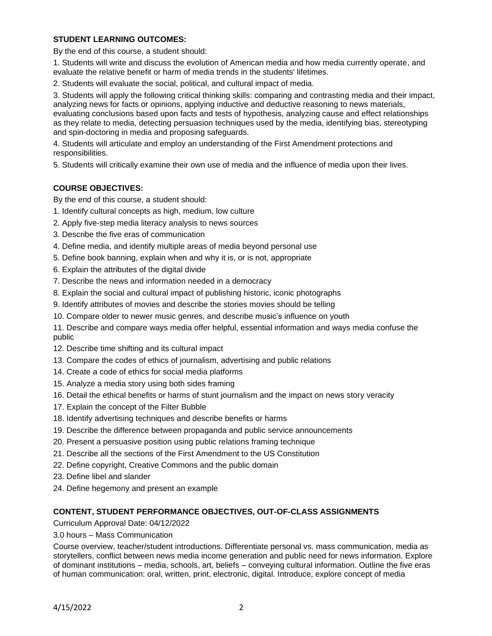# **STUDENT LEARNING OUTCOMES:**

By the end of this course, a student should:

1. Students will write and discuss the evolution of American media and how media currently operate, and evaluate the relative benefit or harm of media trends in the students' lifetimes.

2. Students will evaluate the social, political, and cultural impact of media.

3. Students will apply the following critical thinking skills: comparing and contrasting media and their impact, analyzing news for facts or opinions, applying inductive and deductive reasoning to news materials, evaluating conclusions based upon facts and tests of hypothesis, analyzing cause and effect relationships as they relate to media, detecting persuasion techniques used by the media, identifying bias, stereotyping and spin-doctoring in media and proposing safeguards.

4. Students will articulate and employ an understanding of the First Amendment protections and responsibilities.

5. Students will critically examine their own use of media and the influence of media upon their lives.

### **COURSE OBJECTIVES:**

By the end of this course, a student should:

- 1. Identify cultural concepts as high, medium, low culture
- 2. Apply five-step media literacy analysis to news sources
- 3. Describe the five eras of communication
- 4. Define media, and identify multiple areas of media beyond personal use
- 5. Define book banning, explain when and why it is, or is not, appropriate
- 6. Explain the attributes of the digital divide
- 7. Describe the news and information needed in a democracy
- 8. Explain the social and cultural impact of publishing historic, iconic photographs
- 9. Identify attributes of movies and describe the stories movies should be telling
- 10. Compare older to newer music genres, and describe music's influence on youth

11. Describe and compare ways media offer helpful, essential information and ways media confuse the public

- 12. Describe time shifting and its cultural impact
- 13. Compare the codes of ethics of journalism, advertising and public relations
- 14. Create a code of ethics for social media platforms
- 15. Analyze a media story using both sides framing
- 16. Detail the ethical benefits or harms of stunt journalism and the impact on news story veracity
- 17. Explain the concept of the Filter Bubble
- 18. Identify advertising techniques and describe benefits or harms
- 19. Describe the difference between propaganda and public service announcements
- 20. Present a persuasive position using public relations framing technique
- 21. Describe all the sections of the First Amendment to the US Constitution
- 22. Define copyright, Creative Commons and the public domain
- 23. Define libel and slander
- 24. Define hegemony and present an example

#### **CONTENT, STUDENT PERFORMANCE OBJECTIVES, OUT-OF-CLASS ASSIGNMENTS**

Curriculum Approval Date: 04/12/2022

3.0 hours – Mass Communication

Course overview, teacher/student introductions. Differentiate personal vs. mass communication, media as storytellers, conflict between news media income generation and public need for news information. Explore of dominant institutions – media, schools, art, beliefs – conveying cultural information. Outline the five eras of human communication: oral, written, print, electronic, digital. Introduce, explore concept of media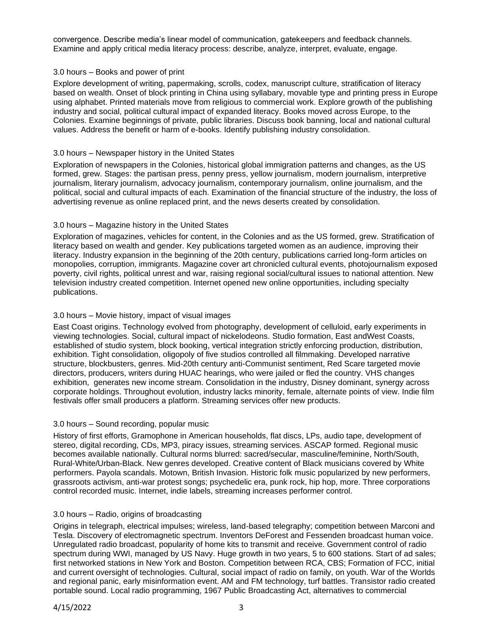convergence. Describe media's linear model of communication, gatekeepers and feedback channels. Examine and apply critical media literacy process: describe, analyze, interpret, evaluate, engage.

### 3.0 hours – Books and power of print

Explore development of writing, papermaking, scrolls, codex, manuscript culture, stratification of literacy based on wealth. Onset of block printing in China using syllabary, movable type and printing press in Europe using alphabet. Printed materials move from religious to commercial work. Explore growth of the publishing industry and social, political cultural impact of expanded literacy. Books moved across Europe, to the Colonies. Examine beginnings of private, public libraries. Discuss book banning, local and national cultural values. Address the benefit or harm of e-books. Identify publishing industry consolidation.

### 3.0 hours – Newspaper history in the United States

Exploration of newspapers in the Colonies, historical global immigration patterns and changes, as the US formed, grew. Stages: the partisan press, penny press, yellow journalism, modern journalism, interpretive journalism, literary journalism, advocacy journalism, contemporary journalism, online journalism, and the political, social and cultural impacts of each. Examination of the financial structure of the industry, the loss of advertising revenue as online replaced print, and the news deserts created by consolidation.

# 3.0 hours – Magazine history in the United States

Exploration of magazines, vehicles for content, in the Colonies and as the US formed, grew. Stratification of literacy based on wealth and gender. Key publications targeted women as an audience, improving their literacy. Industry expansion in the beginning of the 20th century, publications carried long-form articles on monopolies, corruption, immigrants. Magazine cover art chronicled cultural events, photojournalism exposed poverty, civil rights, political unrest and war, raising regional social/cultural issues to national attention. New television industry created competition. Internet opened new online opportunities, including specialty publications.

# 3.0 hours – Movie history, impact of visual images

East Coast origins. Technology evolved from photography, development of celluloid, early experiments in viewing technologies. Social, cultural impact of nickelodeons. Studio formation, East andWest Coasts, established of studio system, block booking, vertical integration strictly enforcing production, distribution, exhibition. Tight consolidation, oligopoly of five studios controlled all filmmaking. Developed narrative structure, blockbusters, genres. Mid-20th century anti-Communist sentiment, Red Scare targeted movie directors, producers, writers during HUAC hearings, who were jailed or fled the country. VHS changes exhibition, generates new income stream. Consolidation in the industry, Disney dominant, synergy across corporate holdings. Throughout evolution, industry lacks minority, female, alternate points of view. Indie film festivals offer small producers a platform. Streaming services offer new products.

# 3.0 hours – Sound recording, popular music

History of first efforts, Gramophone in American households, flat discs, LPs, audio tape, development of stereo, digital recording, CDs, MP3, piracy issues, streaming services. ASCAP formed. Regional music becomes available nationally. Cultural norms blurred: sacred/secular, masculine/feminine, North/South, Rural-White/Urban-Black. New genres developed. Creative content of Black musicians covered by White performers. Payola scandals. Motown, British Invasion. Historic folk music popularized by new performers, grassroots activism, anti-war protest songs; psychedelic era, punk rock, hip hop, more. Three corporations control recorded music. Internet, indie labels, streaming increases performer control.

# 3.0 hours – Radio, origins of broadcasting

Origins in telegraph, electrical impulses; wireless, land-based telegraphy; competition between Marconi and Tesla. Discovery of electromagnetic spectrum. Inventors DeForest and Fessenden broadcast human voice. Unregulated radio broadcast, popularity of home kits to transmit and receive. Government control of radio spectrum during WWI, managed by US Navy. Huge growth in two years, 5 to 600 stations. Start of ad sales; first networked stations in New York and Boston. Competition between RCA, CBS; Formation of FCC, initial and current oversight of technologies. Cultural, social impact of radio on family, on youth. War of the Worlds and regional panic, early misinformation event. AM and FM technology, turf battles. Transistor radio created portable sound. Local radio programming, 1967 Public Broadcasting Act, alternatives to commercial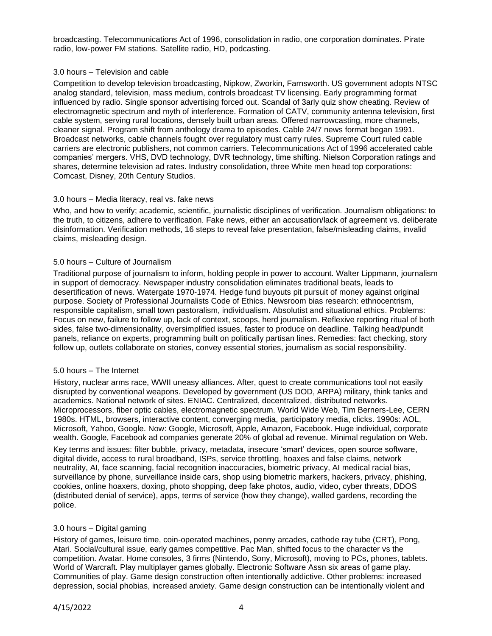broadcasting. Telecommunications Act of 1996, consolidation in radio, one corporation dominates. Pirate radio, low-power FM stations. Satellite radio, HD, podcasting.

#### 3.0 hours – Television and cable

Competition to develop television broadcasting, Nipkow, Zworkin, Farnsworth. US government adopts NTSC analog standard, television, mass medium, controls broadcast TV licensing. Early programming format influenced by radio. Single sponsor advertising forced out. Scandal of 3arly quiz show cheating. Review of electromagnetic spectrum and myth of interference. Formation of CATV, community antenna television, first cable system, serving rural locations, densely built urban areas. Offered narrowcasting, more channels, cleaner signal. Program shift from anthology drama to episodes. Cable 24/7 news format began 1991. Broadcast networks, cable channels fought over regulatory must carry rules. Supreme Court ruled cable carriers are electronic publishers, not common carriers. Telecommunications Act of 1996 accelerated cable companies' mergers. VHS, DVD technology, DVR technology, time shifting. Nielson Corporation ratings and shares, determine television ad rates. Industry consolidation, three White men head top corporations: Comcast, Disney, 20th Century Studios.

### 3.0 hours – Media literacy, real vs. fake news

Who, and how to verify; academic, scientific, journalistic disciplines of verification. Journalism obligations: to the truth, to citizens, adhere to verification. Fake news, either an accusation/lack of agreement vs. deliberate disinformation. Verification methods, 16 steps to reveal fake presentation, false/misleading claims, invalid claims, misleading design.

### 5.0 hours – Culture of Journalism

Traditional purpose of journalism to inform, holding people in power to account. Walter Lippmann, journalism in support of democracy. Newspaper industry consolidation eliminates traditional beats, leads to desertification of news. Watergate 1970-1974. Hedge fund buyouts pit pursuit of money against original purpose. Society of Professional Journalists Code of Ethics. Newsroom bias research: ethnocentrism, responsible capitalism, small town pastoralism, individualism. Absolutist and situational ethics. Problems: Focus on new, failure to follow up, lack of context, scoops, herd journalism. Reflexive reporting ritual of both sides, false two-dimensionality, oversimplified issues, faster to produce on deadline. Talking head/pundit panels, reliance on experts, programming built on politically partisan lines. Remedies: fact checking, story follow up, outlets collaborate on stories, convey essential stories, journalism as social responsibility.

# 5.0 hours – The Internet

History, nuclear arms race, WWII uneasy alliances. After, quest to create communications tool not easily disrupted by conventional weapons. Developed by government (US DOD, ARPA) military, think tanks and academics. National network of sites. ENIAC. Centralized, decentralized, distributed networks. Microprocessors, fiber optic cables, electromagnetic spectrum. World Wide Web, Tim Berners-Lee, CERN 1980s. HTML, browsers, interactive content, converging media, participatory media, clicks. 1990s: AOL, Microsoft, Yahoo, Google. Now: Google, Microsoft, Apple, Amazon, Facebook. Huge individual, corporate wealth. Google, Facebook ad companies generate 20% of global ad revenue. Minimal regulation on Web.

Key terms and issues: filter bubble, privacy, metadata, insecure 'smart' devices, open source software, digital divide, access to rural broadband, ISPs, service throttling, hoaxes and false claims, network neutrality, AI, face scanning, facial recognition inaccuracies, biometric privacy, AI medical racial bias, surveillance by phone, surveillance inside cars, shop using biometric markers, hackers, privacy, phishing, cookies, online hoaxers, doxing, photo shopping, deep fake photos, audio, video, cyber threats, DDOS (distributed denial of service), apps, terms of service (how they change), walled gardens, recording the police.

# 3.0 hours – Digital gaming

History of games, leisure time, coin-operated machines, penny arcades, cathode ray tube (CRT), Pong, Atari. Social/cultural issue, early games competitive. Pac Man, shifted focus to the character vs the competition. Avatar. Home consoles, 3 firms (Nintendo, Sony, Microsoft), moving to PCs, phones, tablets. World of Warcraft. Play multiplayer games globally. Electronic Software Assn six areas of game play. Communities of play. Game design construction often intentionally addictive. Other problems: increased depression, social phobias, increased anxiety. Game design construction can be intentionally violent and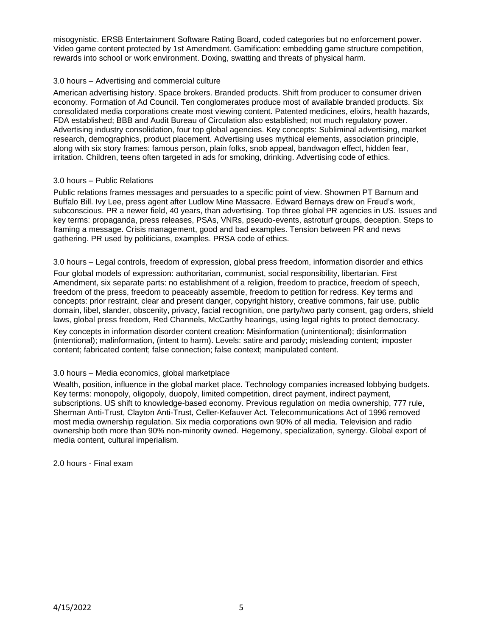misogynistic. ERSB Entertainment Software Rating Board, coded categories but no enforcement power. Video game content protected by 1st Amendment. Gamification: embedding game structure competition, rewards into school or work environment. Doxing, swatting and threats of physical harm.

#### 3.0 hours – Advertising and commercial culture

American advertising history. Space brokers. Branded products. Shift from producer to consumer driven economy. Formation of Ad Council. Ten conglomerates produce most of available branded products. Six consolidated media corporations create most viewing content. Patented medicines, elixirs, health hazards, FDA established; BBB and Audit Bureau of Circulation also established; not much regulatory power. Advertising industry consolidation, four top global agencies. Key concepts: Subliminal advertising, market research, demographics, product placement. Advertising uses mythical elements, association principle, along with six story frames: famous person, plain folks, snob appeal, bandwagon effect, hidden fear, irritation. Children, teens often targeted in ads for smoking, drinking. Advertising code of ethics.

### 3.0 hours – Public Relations

Public relations frames messages and persuades to a specific point of view. Showmen PT Barnum and Buffalo Bill. Ivy Lee, press agent after Ludlow Mine Massacre. Edward Bernays drew on Freud's work, subconscious. PR a newer field, 40 years, than advertising. Top three global PR agencies in US. Issues and key terms: propaganda, press releases, PSAs, VNRs, pseudo-events, astroturf groups, deception. Steps to framing a message. Crisis management, good and bad examples. Tension between PR and news gathering. PR used by politicians, examples. PRSA code of ethics.

3.0 hours – Legal controls, freedom of expression, global press freedom, information disorder and ethics

Four global models of expression: authoritarian, communist, social responsibility, libertarian. First Amendment, six separate parts: no establishment of a religion, freedom to practice, freedom of speech, freedom of the press, freedom to peaceably assemble, freedom to petition for redress. Key terms and concepts: prior restraint, clear and present danger, copyright history, creative commons, fair use, public domain, libel, slander, obscenity, privacy, facial recognition, one party/two party consent, gag orders, shield laws, global press freedom, Red Channels, McCarthy hearings, using legal rights to protect democracy.

Key concepts in information disorder content creation: Misinformation (unintentional); disinformation (intentional); malinformation, (intent to harm). Levels: satire and parody; misleading content; imposter content; fabricated content; false connection; false context; manipulated content.

# 3.0 hours – Media economics, global marketplace

Wealth, position, influence in the global market place. Technology companies increased lobbying budgets. Key terms: monopoly, oligopoly, duopoly, limited competition, direct payment, indirect payment, subscriptions. US shift to knowledge-based economy. Previous regulation on media ownership, 777 rule, Sherman Anti-Trust, Clayton Anti-Trust, Celler-Kefauver Act. Telecommunications Act of 1996 removed most media ownership regulation. Six media corporations own 90% of all media. Television and radio ownership both more than 90% non-minority owned. Hegemony, specialization, synergy. Global export of media content, cultural imperialism.

2.0 hours - Final exam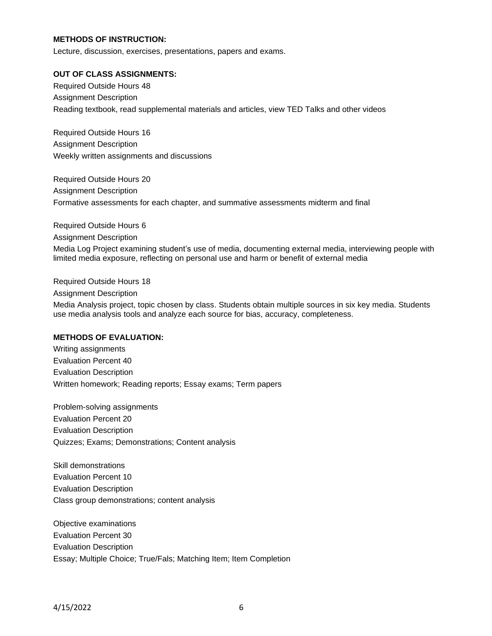# **METHODS OF INSTRUCTION:**

Lecture, discussion, exercises, presentations, papers and exams.

#### **OUT OF CLASS ASSIGNMENTS:**

Required Outside Hours 48 Assignment Description Reading textbook, read supplemental materials and articles, view TED Talks and other videos

Required Outside Hours 16 Assignment Description Weekly written assignments and discussions

Required Outside Hours 20 Assignment Description Formative assessments for each chapter, and summative assessments midterm and final

Required Outside Hours 6 Assignment Description Media Log Project examining student's use of media, documenting external media, interviewing people with limited media exposure, reflecting on personal use and harm or benefit of external media

Required Outside Hours 18 Assignment Description

Media Analysis project, topic chosen by class. Students obtain multiple sources in six key media. Students use media analysis tools and analyze each source for bias, accuracy, completeness.

#### **METHODS OF EVALUATION:**

Writing assignments Evaluation Percent 40 Evaluation Description Written homework; Reading reports; Essay exams; Term papers

Problem-solving assignments Evaluation Percent 20 Evaluation Description Quizzes; Exams; Demonstrations; Content analysis

Skill demonstrations Evaluation Percent 10 Evaluation Description Class group demonstrations; content analysis

Objective examinations Evaluation Percent 30 Evaluation Description Essay; Multiple Choice; True/Fals; Matching Item; Item Completion